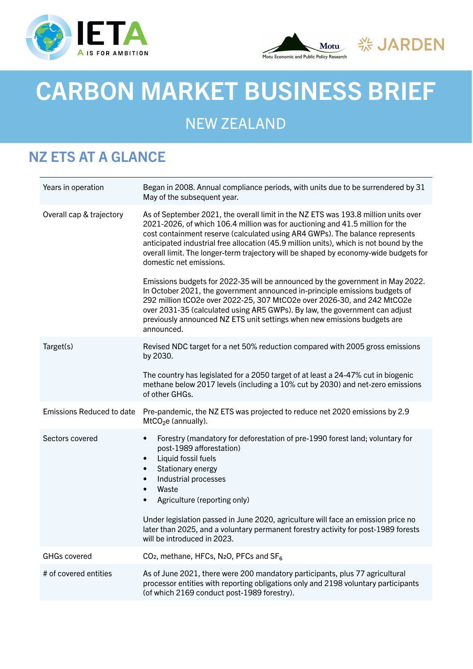





# NEW ZEALAND

# NZ ETS AT A GLANCE

| Years in operation        | Began in 2008. Annual compliance periods, with units due to be surrendered by 31<br>May of the subsequent year.                                                                                                                                                                                                                                                                                                                                                                |
|---------------------------|--------------------------------------------------------------------------------------------------------------------------------------------------------------------------------------------------------------------------------------------------------------------------------------------------------------------------------------------------------------------------------------------------------------------------------------------------------------------------------|
| Overall cap & trajectory  | As of September 2021, the overall limit in the NZ ETS was 193.8 million units over<br>2021-2026, of which 106.4 million was for auctioning and 41.5 million for the<br>cost containment reserve (calculated using AR4 GWPs). The balance represents<br>anticipated industrial free allocation (45.9 million units), which is not bound by the<br>overall limit. The longer-term trajectory will be shaped by economy-wide budgets for<br>domestic net emissions.               |
|                           | Emissions budgets for 2022-35 will be announced by the government in May 2022.<br>In October 2021, the government announced in-principle emissions budgets of<br>292 million tCO2e over 2022-25, 307 MtCO2e over 2026-30, and 242 MtCO2e<br>over 2031-35 (calculated using AR5 GWPs). By law, the government can adjust<br>previously announced NZ ETS unit settings when new emissions budgets are<br>announced.                                                              |
| Target(s)                 | Revised NDC target for a net 50% reduction compared with 2005 gross emissions<br>by 2030.                                                                                                                                                                                                                                                                                                                                                                                      |
|                           | The country has legislated for a 2050 target of at least a 24-47% cut in biogenic<br>methane below 2017 levels (including a 10% cut by 2030) and net-zero emissions<br>of other GHGs.                                                                                                                                                                                                                                                                                          |
| Emissions Reduced to date | Pre-pandemic, the NZ ETS was projected to reduce net 2020 emissions by 2.9<br>MtCO <sub>2</sub> e (annually).                                                                                                                                                                                                                                                                                                                                                                  |
| Sectors covered           | Forestry (mandatory for deforestation of pre-1990 forest land; voluntary for<br>$\bullet$<br>post-1989 afforestation)<br>Liquid fossil fuels<br>$\bullet$<br>Stationary energy<br>$\bullet$<br>Industrial processes<br>$\bullet$<br>Waste<br>$\bullet$<br>Agriculture (reporting only)<br>$\bullet$<br>Under legislation passed in June 2020, agriculture will face an emission price no<br>later than 2025, and a voluntary permanent forestry activity for post-1989 forests |
|                           | will be introduced in 2023.                                                                                                                                                                                                                                                                                                                                                                                                                                                    |
| <b>GHGs covered</b>       | CO <sub>2</sub> , methane, HFCs, N <sub>2</sub> O, PFCs and SF <sub>6</sub>                                                                                                                                                                                                                                                                                                                                                                                                    |
| # of covered entities     | As of June 2021, there were 200 mandatory participants, plus 77 agricultural<br>processor entities with reporting obligations only and 2198 voluntary participants<br>(of which 2169 conduct post-1989 forestry).                                                                                                                                                                                                                                                              |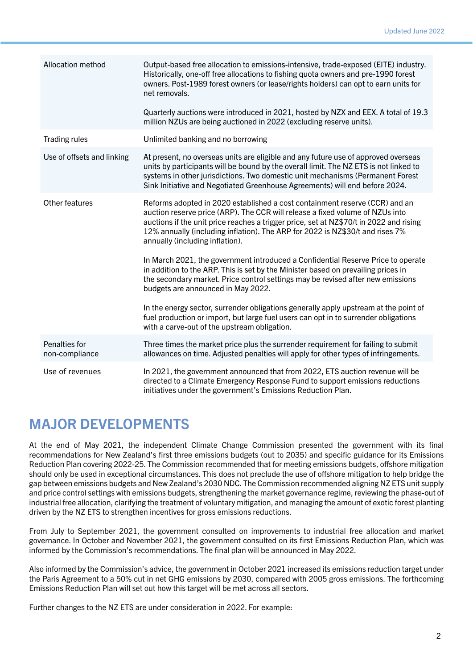| Allocation method               | Output-based free allocation to emissions-intensive, trade-exposed (EITE) industry.<br>Historically, one-off free allocations to fishing quota owners and pre-1990 forest<br>owners. Post-1989 forest owners (or lease/rights holders) can opt to earn units for<br>net removals.<br>Quarterly auctions were introduced in 2021, hosted by NZX and EEX. A total of 19.3<br>million NZUs are being auctioned in 2022 (excluding reserve units). |
|---------------------------------|------------------------------------------------------------------------------------------------------------------------------------------------------------------------------------------------------------------------------------------------------------------------------------------------------------------------------------------------------------------------------------------------------------------------------------------------|
| <b>Trading rules</b>            | Unlimited banking and no borrowing                                                                                                                                                                                                                                                                                                                                                                                                             |
| Use of offsets and linking      | At present, no overseas units are eligible and any future use of approved overseas<br>units by participants will be bound by the overall limit. The NZ ETS is not linked to<br>systems in other jurisdictions. Two domestic unit mechanisms (Permanent Forest<br>Sink Initiative and Negotiated Greenhouse Agreements) will end before 2024.                                                                                                   |
| Other features                  | Reforms adopted in 2020 established a cost containment reserve (CCR) and an<br>auction reserve price (ARP). The CCR will release a fixed volume of NZUs into<br>auctions if the unit price reaches a trigger price, set at NZ\$70/t in 2022 and rising<br>12% annually (including inflation). The ARP for 2022 is NZ\$30/t and rises 7%<br>annually (including inflation).                                                                     |
|                                 | In March 2021, the government introduced a Confidential Reserve Price to operate<br>in addition to the ARP. This is set by the Minister based on prevailing prices in<br>the secondary market. Price control settings may be revised after new emissions<br>budgets are announced in May 2022.                                                                                                                                                 |
|                                 | In the energy sector, surrender obligations generally apply upstream at the point of<br>fuel production or import, but large fuel users can opt in to surrender obligations<br>with a carve-out of the upstream obligation.                                                                                                                                                                                                                    |
| Penalties for<br>non-compliance | Three times the market price plus the surrender requirement for failing to submit<br>allowances on time. Adjusted penalties will apply for other types of infringements.                                                                                                                                                                                                                                                                       |
| Use of revenues                 | In 2021, the government announced that from 2022, ETS auction revenue will be<br>directed to a Climate Emergency Response Fund to support emissions reductions<br>initiatives under the government's Emissions Reduction Plan.                                                                                                                                                                                                                 |

## MAJOR DEVELOPMENTS

At the end of May 2021, the independent Climate Change Commission presented the government with its final recommendations for New Zealand's first three emissions budgets (out to 2035) and specific guidance for its Emissions Reduction Plan covering 2022-25. The Commission recommended that for meeting emissions budgets, offshore mitigation should only be used in exceptional circumstances. This does not preclude the use of offshore mitigation to help bridge the gap between emissions budgets and New Zealand's 2030 NDC. The Commission recommended aligning NZ ETS unit supply and price control settings with emissions budgets, strengthening the market governance regime, reviewing the phase-out of industrial free allocation, clarifying the treatment of voluntary mitigation, and managing the amount of exotic forest planting driven by the NZ ETS to strengthen incentives for gross emissions reductions.

From July to September 2021, the government consulted on improvements to industrial free allocation and market governance. In October and November 2021, the government consulted on its first Emissions Reduction Plan, which was informed by the Commission's recommendations. The final plan will be announced in May 2022.

Also informed by the Commission's advice, the government in October 2021 increased its emissions reduction target under the Paris Agreement to a 50% cut in net GHG emissions by 2030, compared with 2005 gross emissions. The forthcoming Emissions Reduction Plan will set out how this target will be met across all sectors.

Further changes to the NZ ETS are under consideration in 2022. For example: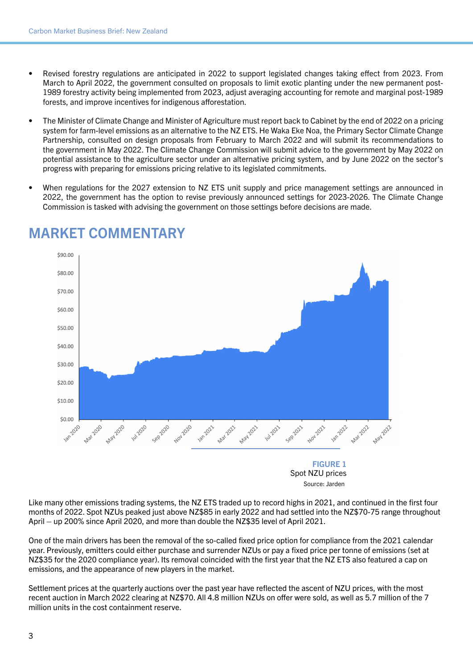- Revised forestry regulations are anticipated in 2022 to support legislated changes taking effect from 2023. From March to April 2022, the government consulted on proposals to limit exotic planting under the new permanent post-1989 forestry activity being implemented from 2023, adjust averaging accounting for remote and marginal post-1989 forests, and improve incentives for indigenous afforestation.
- The Minister of Climate Change and Minister of Agriculture must report back to Cabinet by the end of 2022 on a pricing system for farm-level emissions as an alternative to the NZ ETS. He Waka Eke Noa, the Primary Sector Climate Change Partnership, consulted on design proposals from February to March 2022 and will submit its recommendations to the government in May 2022. The Climate Change Commission will submit advice to the government by May 2022 on potential assistance to the agriculture sector under an alternative pricing system, and by June 2022 on the sector's progress with preparing for emissions pricing relative to its legislated commitments.
- When regulations for the 2027 extension to NZ ETS unit supply and price management settings are announced in 2022, the government has the option to revise previously announced settings for 2023-2026. The Climate Change Commission is tasked with advising the government on those settings before decisions are made.



#### MARKET COMMENTARY

FIGURE 1 Spot NZU prices Source: Jarden

Like many other emissions trading systems, the NZ ETS traded up to record highs in 2021, and continued in the first four months of 2022. Spot NZUs peaked just above NZ\$85 in early 2022 and had settled into the NZ\$70-75 range throughout April – up 200% since April 2020, and more than double the NZ\$35 level of April 2021.

One of the main drivers has been the removal of the so-called fixed price option for compliance from the 2021 calendar year. Previously, emitters could either purchase and surrender NZUs or pay a fixed price per tonne of emissions (set at NZ\$35 for the 2020 compliance year). Its removal coincided with the first year that the NZ ETS also featured a cap on emissions, and the appearance of new players in the market.

Settlement prices at the quarterly auctions over the past year have reflected the ascent of NZU prices, with the most recent auction in March 2022 clearing at NZ\$70. All 4.8 million NZUs on offer were sold, as well as 5.7 million of the 7 million units in the cost containment reserve.